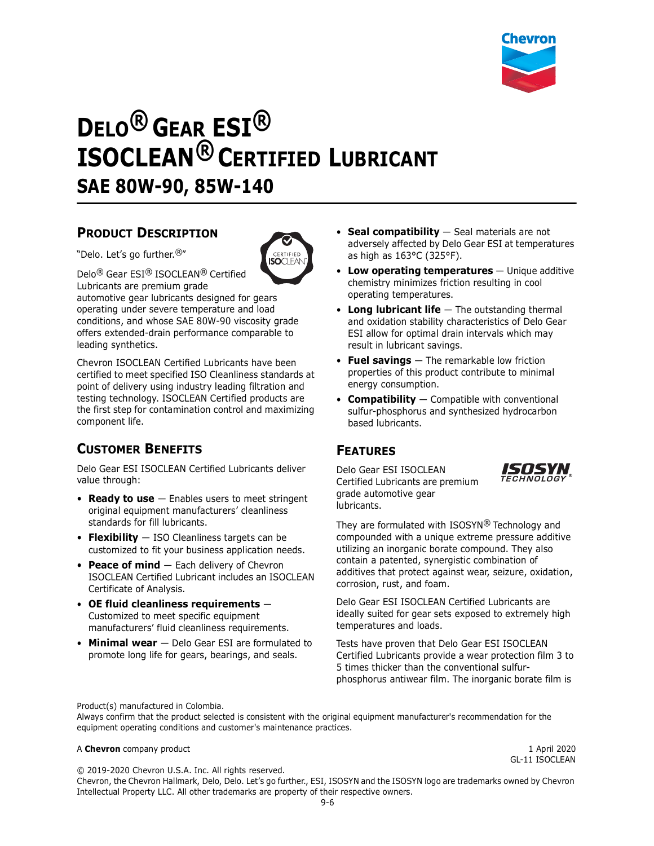

# **DELO® GEAR ESI® ISOCLEAN® CERTIFIED LUBRICANT SAE 80W-90, 85W-140**

#### **PRODUCT DESCRIPTION**

"Delo. Let's go further.®"



Delo® Gear ESI® ISOCLEAN® Certified

Lubricants are premium grade automotive gear lubricants designed for gears operating under severe temperature and load conditions, and whose SAE 80W-90 viscosity grade offers extended-drain performance comparable to leading synthetics.

Chevron ISOCLEAN Certified Lubricants have been certified to meet specified ISO Cleanliness standards at point of delivery using industry leading filtration and testing technology. ISOCLEAN Certified products are the first step for contamination control and maximizing component life.

# **CUSTOMER BENEFITS**

Delo Gear ESI ISOCLEAN Certified Lubricants deliver value through:

- **Ready to use** Enables users to meet stringent original equipment manufacturers' cleanliness standards for fill lubricants.
- **Flexibility** ISO Cleanliness targets can be customized to fit your business application needs.
- **Peace of mind** Each delivery of Chevron ISOCLEAN Certified Lubricant includes an ISOCLEAN Certificate of Analysis.
- **OE fluid cleanliness requirements** Customized to meet specific equipment manufacturers' fluid cleanliness requirements.
- **Minimal wear**  Delo Gear ESI are formulated to promote long life for gears, bearings, and seals.
- **Seal compatibility** Seal materials are not adversely affected by Delo Gear ESI at temperatures as high as 163°C (325°F).
- **Low operating temperatures** Unique additive chemistry minimizes friction resulting in cool operating temperatures.
- **Long lubricant life** The outstanding thermal and oxidation stability characteristics of Delo Gear ESI allow for optimal drain intervals which may result in lubricant savings.
- **Fuel savings** The remarkable low friction properties of this product contribute to minimal energy consumption.
- **Compatibility** Compatible with conventional sulfur-phosphorus and synthesized hydrocarbon based lubricants.

### **FEATURES**

Delo Gear ESI ISOCLEAN Certified Lubricants are premium grade automotive gear lubricants.



They are formulated with ISOSYN® Technology and compounded with a unique extreme pressure additive utilizing an inorganic borate compound. They also contain a patented, synergistic combination of additives that protect against wear, seizure, oxidation, corrosion, rust, and foam.

Delo Gear ESI ISOCLEAN Certified Lubricants are ideally suited for gear sets exposed to extremely high temperatures and loads.

Tests have proven that Delo Gear ESI ISOCLEAN Certified Lubricants provide a wear protection film 3 to 5 times thicker than the conventional sulfurphosphorus antiwear film. The inorganic borate film is

Product(s) manufactured in Colombia.

Always confirm that the product selected is consistent with the original equipment manufacturer's recommendation for the equipment operating conditions and customer's maintenance practices.

#### A **Chevron** company product 1 April 2020

GL-11 ISOCLEAN

© 2019-2020 Chevron U.S.A. Inc. All rights reserved. Chevron, the Chevron Hallmark, Delo, Delo. Let's go further., ESI, ISOSYN and the ISOSYN logo are trademarks owned by Chevron Intellectual Property LLC. All other trademarks are property of their respective owners.